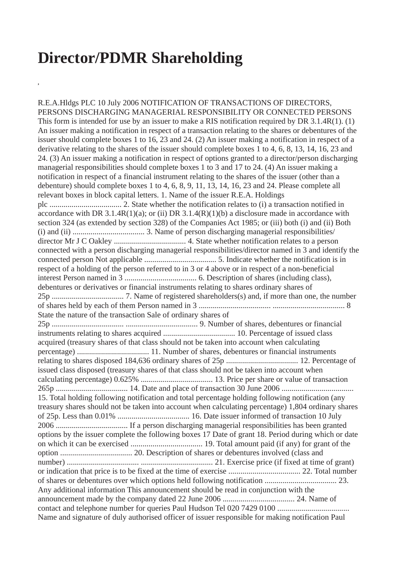## **Director/PDMR Shareholding**

**,**

R.E.A.Hldgs PLC 10 July 2006 NOTIFICATION OF TRANSACTIONS OF DIRECTORS, PERSONS DISCHARGING MANAGERIAL RESPONSIBILITY OR CONNECTED PERSONS This form is intended for use by an issuer to make a RIS notification required by DR 3.1.4R(1). (1) An issuer making a notification in respect of a transaction relating to the shares or debentures of the issuer should complete boxes 1 to 16, 23 and 24. (2) An issuer making a notification in respect of a derivative relating to the shares of the issuer should complete boxes 1 to 4, 6, 8, 13, 14, 16, 23 and 24. (3) An issuer making a notification in respect of options granted to a director/person discharging managerial responsibilities should complete boxes 1 to 3 and 17 to 24. (4) An issuer making a notification in respect of a financial instrument relating to the shares of the issuer (other than a debenture) should complete boxes 1 to 4, 6, 8, 9, 11, 13, 14, 16, 23 and 24. Please complete all relevant boxes in block capital letters. 1. Name of the issuer R.E.A. Holdings plc .................................... 2. State whether the notification relates to (i) a transaction notified in accordance with DR 3.1.4R(1)(a); or (ii) DR 3.1.4(R)(1)(b) a disclosure made in accordance with section 324 (as extended by section 328) of the Companies Act 1985; or (iii) both (i) and (ii) Both (i) and (ii) .................................... 3. Name of person discharging managerial responsibilities/ director Mr J C Oakley .................................... 4. State whether notification relates to a person connected with a person discharging managerial responsibilities/director named in 3 and identify the connected person Not applicable .................................... 5. Indicate whether the notification is in respect of a holding of the person referred to in 3 or 4 above or in respect of a non-beneficial interest Person named in 3 .................................... 6. Description of shares (including class), debentures or derivatives or financial instruments relating to shares ordinary shares of 25p .................................... 7. Name of registered shareholders(s) and, if more than one, the number of shares held by each of them Person named in 3 .................................... .................................... 8 State the nature of the transaction Sale of ordinary shares of 25p .................................... .................................... 9. Number of shares, debentures or financial instruments relating to shares acquired .................................... 10. Percentage of issued class acquired (treasury shares of that class should not be taken into account when calculating percentage) .................................... 11. Number of shares, debentures or financial instruments relating to shares disposed 184,636 ordinary shares of 25p .................................... 12. Percentage of issued class disposed (treasury shares of that class should not be taken into account when calculating percentage) 0.625% .................................... 13. Price per share or value of transaction 265p .................................... 14. Date and place of transaction 30 June 2006 .................................... 15. Total holding following notification and total percentage holding following notification (any treasury shares should not be taken into account when calculating percentage) 1,804 ordinary shares of 25p. Less than 0.01% .................................... 16. Date issuer informed of transaction 10 July 2006 .................................... If a person discharging managerial responsibilities has been granted options by the issuer complete the following boxes 17 Date of grant 18. Period during which or date on which it can be exercised .................................... 19. Total amount paid (if any) for grant of the option .................................... 20. Description of shares or debentures involved (class and number) .................................... .................................... 21. Exercise price (if fixed at time of grant) or indication that price is to be fixed at the time of exercise .................................... 22. Total number of shares or debentures over which options held following notification .................................... 23. Any additional information This announcement should be read in conjunction with the announcement made by the company dated 22 June 2006 .................................... 24. Name of contact and telephone number for queries Paul Hudson Tel 020 7429 0100 .................................... Name and signature of duly authorised officer of issuer responsible for making notification Paul